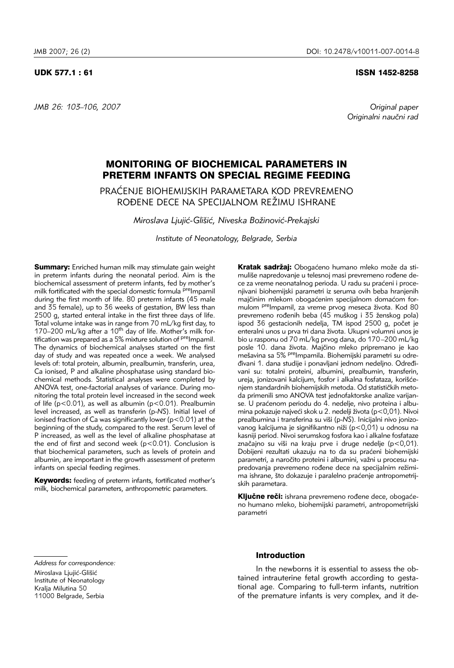*JMB 26: 103–106, 2007 Original paper* 

### UDK 577.1 : 61 ISSN 1452-8258

Originalni naučni rad

# MONITORING OF BIOCHEMICAL PARAMETERS IN PRETERM INFANTS ON SPECIAL REGIME FEEDING

PRA]ENJE BIOHEMIJSKIH PARAMETARA KOD PREVREMENO ROĐENE DECE NA SPECIJALNOM REŽIMU ISHRANE

*Miroslava Ljuji}-Gli{i}, Niveska Bo`inovi}-Prekajski*

*Institute of Neonatology, Belgrade, Serbia*

**Summary:** Enriched human milk may stimulate gain weight in preterm infants during the neonatal period. Aim is the biochemical assessment of preterm infants, fed by mother's milk fortificated with the special domestic formula <sup>pre</sup>Impamil during the first month of life. 80 preterm infants (45 male and 35 female), up to 36 weeks of gestation, BW less than 2500 g, started enteral intake in the first three days of life. Total volume intake was in range from 70 mL/kg first day, to 170–200 mL/kg after a  $10^{th}$  day of life. Mother's milk fortification was prepared as a 5% mixture solution of <sup>pre</sup>Impamil. The dynamics of biochemical analyses started on the first day of study and was repeated once a week. We analysed levels of: total protein, albumin, prealbumin, transferin, urea, Ca ionised, P and alkaline phosphatase using standard biochemical methods. Statistical analyses were completed by ANOVA test, one-factorial analyses of variance. During monitoring the total protein level increased in the second week of life (p<0.01), as well as albumin (p<0.01). Prealbumin level increased, as well as transferin (p-*NS*). Initial level of ionised fraction of Ca was significantly lower (p<0.01) at the beginning of the study, compared to the rest. Serum level of P increased, as well as the level of alkaline phosphatase at the end of first and second week  $(p<0.01)$ . Conclusion is that biochemical parameters, such as levels of protein and albumin, are important in the growth assessment of preterm infants on special feeding regimes.

Keywords: feeding of preterm infants, fortificated mother's milk, biochemical parameters, anthropometric parameters.

Kratak sadržaj: Obogaćeno humano mleko može da stimuliše napredovanje u telesnoj masi prevremeno rođene dece za vreme neonatalnog perioda. U radu su praćeni i procenjivani biohemijski parametri iz seruma ovih beba hranjenih majčinim mlekom obogaćenim specijalnom domaćom formulom <sup>pre</sup>Impamil, za vreme prvog meseca života. Kod 80 prevremeno rođenih beba (45 muškog i 35 ženskog pola) ispod 36 gestacionih nedelja, TM ispod 2500 g, počet je enteralni unos u prva tri dana života. Ukupni volumni unos je bio u rasponu od 70 mL/kg prvog dana, do 170–200 mL/kg posle 10. dana života. Majčino mleko pripremano je kao mešavina sa 5% <sup>pre</sup>Impamila. Biohemijski parametri su odredivani 1. dana studije i ponavljani jednom nedeljno. Određivani su: totalni proteini, albumini, prealbumin, transferin, ureja, jonizovani kalcijum, fosfor i alkalna fosfataza, korišćenjem standardnih biohemijskih metoda. Od statističkih metoda primenili smo ANOVA test jednofaktorske analize varijanse. U praćenom periodu do 4. nedelje, nivo proteina i albumina pokazuje najveći skok u 2. nedelji života (p<0,01). Nivoi prealbumina i transferina su viši (p-NS). Inicijalni nivo jonizovanog kalcijuma je signifikantno niži (p<0,01) u odnosu na kasniji period. Nivoi serumskog fosfora kao i alkalne fosfataze značajno su viši na kraju prve i druge nedelje (p<0,01). Dobijeni rezultati ukazuju na to da su praćeni biohemijski parametri, a naročito proteini i albumini, važni u procesu napredovania prevremeno rođene dece na specijalnim režimima ishrane, što dokazuje i paralelno praćenje antropometrijskih parametara.

Ključne reči: ishrana prevremeno rođene dece, obogaćeno humano mleko, biohemijski parametri, antropometrijski parametri

*Address for correspondence:*  Miroslava Ljujić-Glišić Institute of Neonatology Kralja Milutina 50 11000 Belgrade, Serbia

# Introduction

In the newborns it is essential to assess the obtained intrauterine fetal growth according to gestational age. Comparing to full-term infants, nutrition of the premature infants is very complex, and it de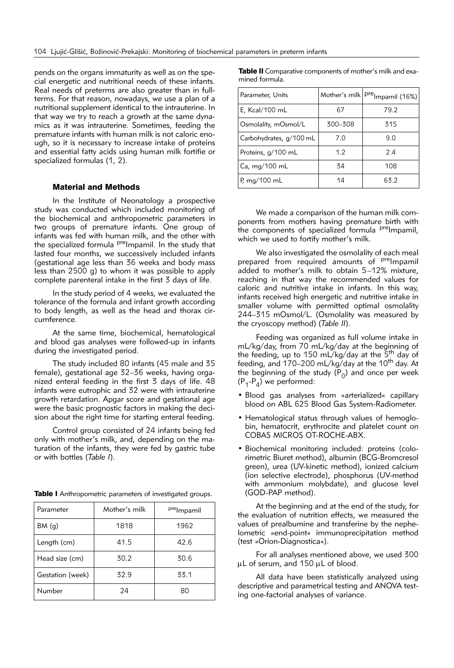pends on the organs immaturity as well as on the special energetic and nutritional needs of these infants. Real needs of preterms are also greater than in fullterms. For that reason, nowadays, we use a plan of a nutritional supplement identical to the intrauterine. In that way we try to reach a growth at the same dynamics as it was intrauterine. Sometimes, feeding the premature infants with human milk is not caloric enough, so it is necessary to increase intake of proteins and essential fatty acids using human milk fortifie or specialized formulas (1, 2).

### Material and Methods

In the Institute of Neonatology a prospective study was conducted which included monitoring of the biochemical and anthropometric parameters in two groups of premature infants. One group of infants was fed with human milk, and the other with the specialized formula <sup>pre</sup>Impamil. In the study that lasted four months, we successively included infants (gestational age less than 36 weeks and body mass less than 2500 g) to whom it was possible to apply complete parenteral intake in the first 3 days of life.

In the study period of 4 weeks, we evaluated the tolerance of the formula and infant growth according to body length, as well as the head and thorax circumference.

At the same time, biochemical, hematological and blood gas analyses were followed-up in infants during the investigated period.

The study included 80 infants (45 male and 35 female), gestational age 32–36 weeks, having organized enteral feeding in the first 3 days of life. 48 infants were eutrophic and 32 were with intrauterine growth retardation. Apgar score and gestational age were the basic prognostic factors in making the decision about the right time for starting enteral feeding.

Control group consisted of 24 infants being fed only with mother's milk, and, depending on the maturation of the infants, they were fed by gastric tube or with bottles (*Table I*).

| Parameter        | Mother's milk | prelmpamil |  |
|------------------|---------------|------------|--|
| BM(q)            | 1818          | 1962       |  |
| Length (cm)      | 41.5          | 42.6       |  |
| Head size (cm)   | 30.2          | 30.6       |  |
| Gestation (week) | 32.9          | 33.1       |  |
| Number           | 24            | 80         |  |

Table I Anthropometric parameters of investigated groups.

Table II Comparative components of mother's milk and examined formula.

| Parameter, Units        |         | Mother's milk   pre <sub>Impamil</sub> (16%) |  |
|-------------------------|---------|----------------------------------------------|--|
| E, Kcal/100 mL          | 67      | 79.2                                         |  |
| Osmolality, mOsmol/L    | 300-308 | 315                                          |  |
| Carbohydrates, g/100 mL | 7.0     | 9.0                                          |  |
| Proteins, g/100 mL      | 1.2     | 2.4                                          |  |
| Ca, mg/100 mL           | 34      | 108                                          |  |
| P, mg/100 mL            | 14      | 63.2                                         |  |

We made a comparison of the human milk components from mothers having premature birth with the components of specialized formula <sup>pre</sup>Impamil, which we used to fortify mother's milk.

We also investigated the osmolality of each meal prepared from required amounts of <sup>pre</sup>Impamil added to mother's milk to obtain 5–12% mixture, reaching in that way the recommended values for caloric and nutritive intake in infants. In this way, infants received high energetic and nutritive intake in smaller volume with permitted optimal osmolality 244–315 mOsmol/L. (Osmolality was measured by the cryoscopy method) (*Table II*).

Feeding was organized as full volume intake in mL/kg/day, from 70 mL/kg/day at the beginning of the feeding, up to 150 mL/kg/day at the 5<sup>th</sup> day of feeding, and  $170-200$  mL/kg/day at the  $10^{th}$  day. At the beginning of the study  $(P_0)$  and once per week  $(P_1-P_4)$  we performed:

- Blood gas analyses from »arterialized« capillary blood on ABL 625 Blood Gas System-Radiometer.
- Hematological status through values of hemoglobin, hematocrit, erythrocite and platelet count on COBAS MICROS OT-ROCHE-ABX.
- Biochemical monitoring included: proteins (colorimetric Biuret method), albumin (BCG-Bromcresol green), urea (UV-kinetic method), ionized calcium (ion selective electrode), phosphorus (UV-method with ammonium molybdate), and glucose level (GOD-PAP method).

At the beginning and at the end of the study, for the evaluation of nutrition effects, we measured the values of prealbumine and transferine by the nephelometric »end-point« immunoprecipitation method (test »Orion-Diagnostica«).

For all analyses mentioned above, we used 300  $\mu$ L of serum, and 150  $\mu$ L of blood.

All data have been statistically analyzed using descriptive and parametrical testing and ANOVA testing one-factorial analyses of variance.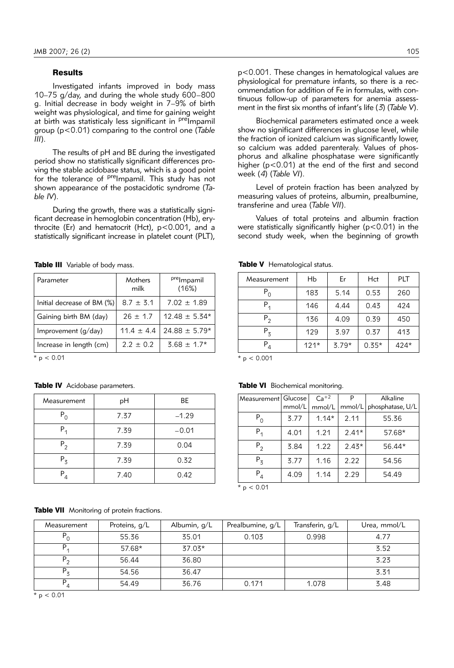# **Results**

Investigated infants improved in body mass 10–75 g/day, and during the whole study 600–800 g. Initial decrease in body weight in 7–9% of birth weight was physiological, and time for gaining weight at birth was statisticaly less significant in <sup>pre</sup>Impamil group (p<0.01) comparing to the control one (*Table III*).

The results of pH and BE during the investigated period show no statistically significant differences proving the stable acidobase status, which is a good point for the tolerance of <sup>pre</sup>Impamil. This study has not shown appearance of the postacidotic syndrome (*Table IV*).

During the growth, there was a statistically significant decrease in hemoglobin concentration (Hb), erythrocite (Er) and hematocrit (Hct), p<0.001, and a statistically significant increase in platelet count (PLT),

Table III Variable of body mass.

| Parameter                  | Mothers<br>milk | <sup>pre</sup> lmpamil<br>(16%) |
|----------------------------|-----------------|---------------------------------|
| Initial decrease of BM (%) | $8.7 \pm 3.1$   | $7.02 + 1.89$                   |
| Gaining birth BM (day)     | $26 \pm 1.7$    | $12.48 \pm 5.34*$               |
| Improvement (g/day)        | $11.4 \pm 4.4$  | $24.88 \pm 5.79*$               |
| Increase in length (cm)    | $2.2 + 0.2$     | $3.68 \pm 1.7*$                 |
| $* - - 0.01$               |                 |                                 |

 $p < 0.01$ 

#### Table IV Acidobase parameters.

| Measurement   | рH   | ВE      |  |
|---------------|------|---------|--|
| $P_{\Omega}$  | 7.37 | $-1.29$ |  |
| $P_{1}$       | 7.39 | $-0.01$ |  |
| $P_{2}$       | 7.39 | 0.04    |  |
| $P_3$         | 7.39 | 0.32    |  |
| $P_4$<br>7.40 |      | 0.42    |  |

**Table VII** Monitoring of protein fractions.

p<0.001. These changes in hematological values are physiological for premature infants, so there is a recommendation for addition of Fe in formulas, with continuous follow-up of parameters for anemia assessment in the first six months of infant's life (*3*) (*Table V*).

Biochemical parameters estimated once a week show no significant differences in glucose level, while the fraction of ionized calcium was significantly lower, so calcium was added parenteraly. Values of phosphorus and alkaline phosphatase were significantly higher (p<0.01) at the end of the first and second week (*4*) (*Table VI*).

Level of protein fraction has been analyzed by measuring values of proteins, albumin, prealbumine, transferine and urea (*Table VII*).

Values of total proteins and albumin fraction were statistically significantly higher (p<0.01) in the second study week, when the beginning of growth

| Measurement                  | Hb     | Er      | Hct     | <b>PLT</b> |
|------------------------------|--------|---------|---------|------------|
| $P^{\vphantom{\dagger}}_{0}$ | 183    | 5.14    | 0.53    | 260        |
| $P_1$                        | 146    | 4.44    | 0.43    | 424        |
| $P_{2}$                      | 136    | 4.09    | 0.39    | 450        |
| $P_3$                        | 129    | 3.97    | 0.37    | 413        |
| $P_4$                        | $121*$ | $3.79*$ | $0.35*$ | 424*       |

Table V Hematological status.

 $*$  p < 0.001

#### Table VI Biochemical monitoring.

| Measurement   Glucose        |        | $Ca+2$  |         | Alkaline         |
|------------------------------|--------|---------|---------|------------------|
|                              | mmol/L | mmol/L  | mmol/L  | phosphatase, U/L |
| $P^{\vphantom{\dagger}}_{0}$ | 3.77   | $1.14*$ | 2.11    | 55.36            |
| $P_{1}$                      | 4.01   | 1.21    | $2.41*$ | 57.68*           |
| $P_2$                        | 3.84   | 1.22    | $2.43*$ | 56.44*           |
| $P_3$                        | 3.77   | 1.16    | 2.22    | 54.56            |
| $P_{4}$                      | 4.09   | 1.14    | 2.29    | 54.49            |
| $+$ $ \sim$ $\cap$ $\wedge$  |        |         |         |                  |

 $p < 0.01$ 

| Measurement    | Proteins, g/L | Albumin, g/L | Prealbumine, g/L | Transferin, g/L | Urea, mmol/L |
|----------------|---------------|--------------|------------------|-----------------|--------------|
| $\mathsf{P}_0$ | 55.36         | 35.01        | 0.103            | 0.998           | 4.77         |
|                | 57.68*        | $37.03*$     |                  |                 | 3.52         |
| $P_{2}$        | 56.44         | 36.80        |                  |                 | 3.23         |
| $P_{z}$        | 54.56         | 36.47        |                  |                 | 3.31         |
| $\overline{4}$ | 54.49         | 36.76        | 0.171            | 1.078           | 3.48         |

 $*$  p < 0.01